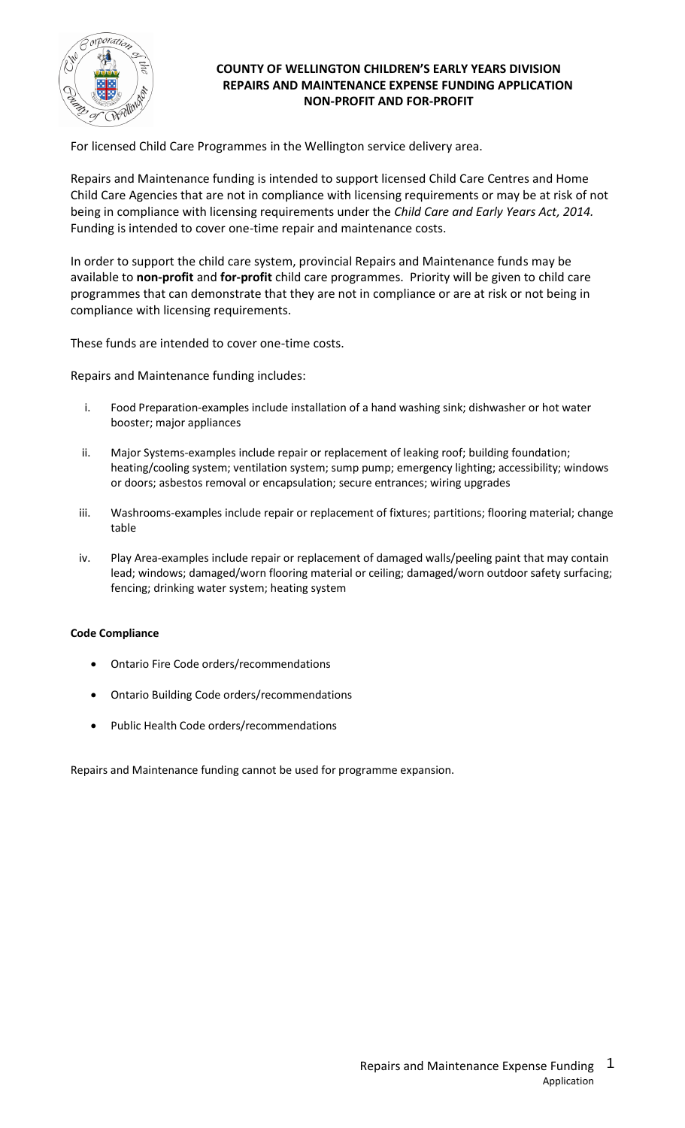

# **COUNTY OF WELLINGTON CHILDREN'S EARLY YEARS DIVISION REPAIRS AND MAINTENANCE EXPENSE FUNDING APPLICATION NON-PROFIT AND FOR-PROFIT**

For licensed Child Care Programmes in the Wellington service delivery area.

Repairs and Maintenance funding is intended to support licensed Child Care Centres and Home Child Care Agencies that are not in compliance with licensing requirements or may be at risk of not being in compliance with licensing requirements under the *Child Care and Early Years Act, 2014.*  Funding is intended to cover one-time repair and maintenance costs.

In order to support the child care system, provincial Repairs and Maintenance funds may be available to **non-profit** and **for-profit** child care programmes. Priority will be given to child care programmes that can demonstrate that they are not in compliance or are at risk or not being in compliance with licensing requirements.

These funds are intended to cover one-time costs.

Repairs and Maintenance funding includes:

- i. Food Preparation-examples include installation of a hand washing sink; dishwasher or hot water booster; major appliances
- ii. Major Systems-examples include repair or replacement of leaking roof; building foundation; heating/cooling system; ventilation system; sump pump; emergency lighting; accessibility; windows or doors; asbestos removal or encapsulation; secure entrances; wiring upgrades
- iii. Washrooms-examples include repair or replacement of fixtures; partitions; flooring material; change table
- iv. Play Area-examples include repair or replacement of damaged walls/peeling paint that may contain lead; windows; damaged/worn flooring material or ceiling; damaged/worn outdoor safety surfacing; fencing; drinking water system; heating system

#### **Code Compliance**

- Ontario Fire Code orders/recommendations
- Ontario Building Code orders/recommendations
- Public Health Code orders/recommendations

Repairs and Maintenance funding cannot be used for programme expansion.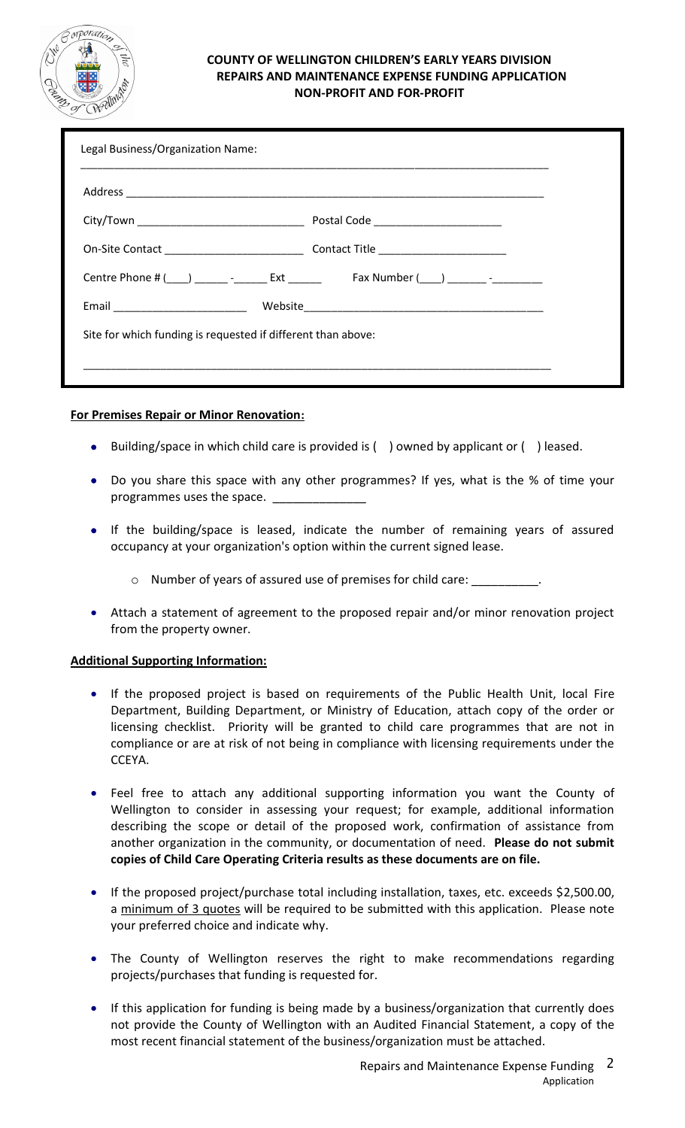

## **COUNTY OF WELLINGTON CHILDREN'S EARLY YEARS DIVISION REPAIRS AND MAINTENANCE EXPENSE FUNDING APPLICATION NON-PROFIT AND FOR-PROFIT**

| Legal Business/Organization Name:                            |  |  |
|--------------------------------------------------------------|--|--|
|                                                              |  |  |
|                                                              |  |  |
|                                                              |  |  |
|                                                              |  |  |
| Email _________________________                              |  |  |
| Site for which funding is requested if different than above: |  |  |
|                                                              |  |  |
|                                                              |  |  |

# **For Premises Repair or Minor Renovation:**

- Building/space in which child care is provided is ( ) owned by applicant or ( ) leased.
- Do you share this space with any other programmes? If yes, what is the % of time your programmes uses the space.
- If the building/space is leased, indicate the number of remaining years of assured occupancy at your organization's option within the current signed lease.
	- o Number of years of assured use of premises for child care: \_\_\_\_\_\_\_\_\_\_.
- Attach a statement of agreement to the proposed repair and/or minor renovation project from the property owner.

#### **Additional Supporting Information:**

- If the proposed project is based on requirements of the Public Health Unit, local Fire Department, Building Department, or Ministry of Education, attach copy of the order or licensing checklist. Priority will be granted to child care programmes that are not in compliance or are at risk of not being in compliance with licensing requirements under the CCEYA.
- Feel free to attach any additional supporting information you want the County of Wellington to consider in assessing your request; for example, additional information describing the scope or detail of the proposed work, confirmation of assistance from another organization in the community, or documentation of need. **Please do not submit copies of Child Care Operating Criteria results as these documents are on file.**
- If the proposed project/purchase total including installation, taxes, etc. exceeds \$2,500.00, a minimum of 3 quotes will be required to be submitted with this application. Please note your preferred choice and indicate why.
- The County of Wellington reserves the right to make recommendations regarding projects/purchases that funding is requested for.
- If this application for funding is being made by a business/organization that currently does not provide the County of Wellington with an Audited Financial Statement, a copy of the most recent financial statement of the business/organization must be attached.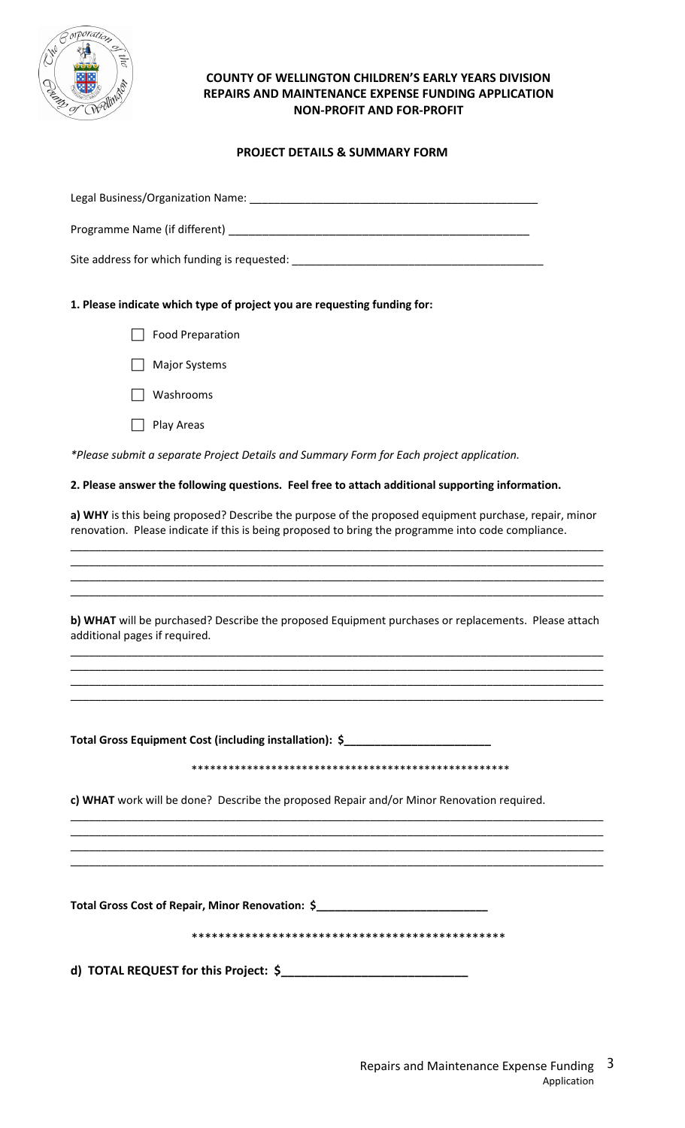

## **COUNTY OF WELLINGTON CHILDREN'S EARLY YEARS DIVISION REPAIRS AND MAINTENANCE EXPENSE FUNDING APPLICATION NON-PROFIT AND FOR-PROFIT**

# **PROJECT DETAILS & SUMMARY FORM**

| Legal Business/Organization Name: Manner Manuscription of the Manuscription of the Manuscription of the Manuscription of the Manuscription of the Manuscription of the Manuscription of the Manuscription of the Manuscription |
|--------------------------------------------------------------------------------------------------------------------------------------------------------------------------------------------------------------------------------|
|                                                                                                                                                                                                                                |
|                                                                                                                                                                                                                                |
| 1. Please indicate which type of project you are requesting funding for:                                                                                                                                                       |
| <b>Food Preparation</b>                                                                                                                                                                                                        |
| <b>Major Systems</b>                                                                                                                                                                                                           |
| Washrooms                                                                                                                                                                                                                      |
| Play Areas                                                                                                                                                                                                                     |
| *Please submit a separate Project Details and Summary Form for Each project application.                                                                                                                                       |
| 2. Please answer the following questions. Feel free to attach additional supporting information.                                                                                                                               |
| a) WHY is this being proposed? Describe the purpose of the proposed equipment purchase, repair, minor<br>renovation. Please indicate if this is being proposed to bring the programme into code compliance.                    |
|                                                                                                                                                                                                                                |
|                                                                                                                                                                                                                                |
| b) WHAT will be purchased? Describe the proposed Equipment purchases or replacements. Please attach<br>additional pages if required.                                                                                           |
|                                                                                                                                                                                                                                |
|                                                                                                                                                                                                                                |
| Total Gross Equipment Cost (including installation): \$                                                                                                                                                                        |
|                                                                                                                                                                                                                                |
| c) WHAT work will be done? Describe the proposed Repair and/or Minor Renovation required.                                                                                                                                      |
|                                                                                                                                                                                                                                |
|                                                                                                                                                                                                                                |
| Total Gross Cost of Repair, Minor Renovation: \$_________________________________                                                                                                                                              |
|                                                                                                                                                                                                                                |
|                                                                                                                                                                                                                                |